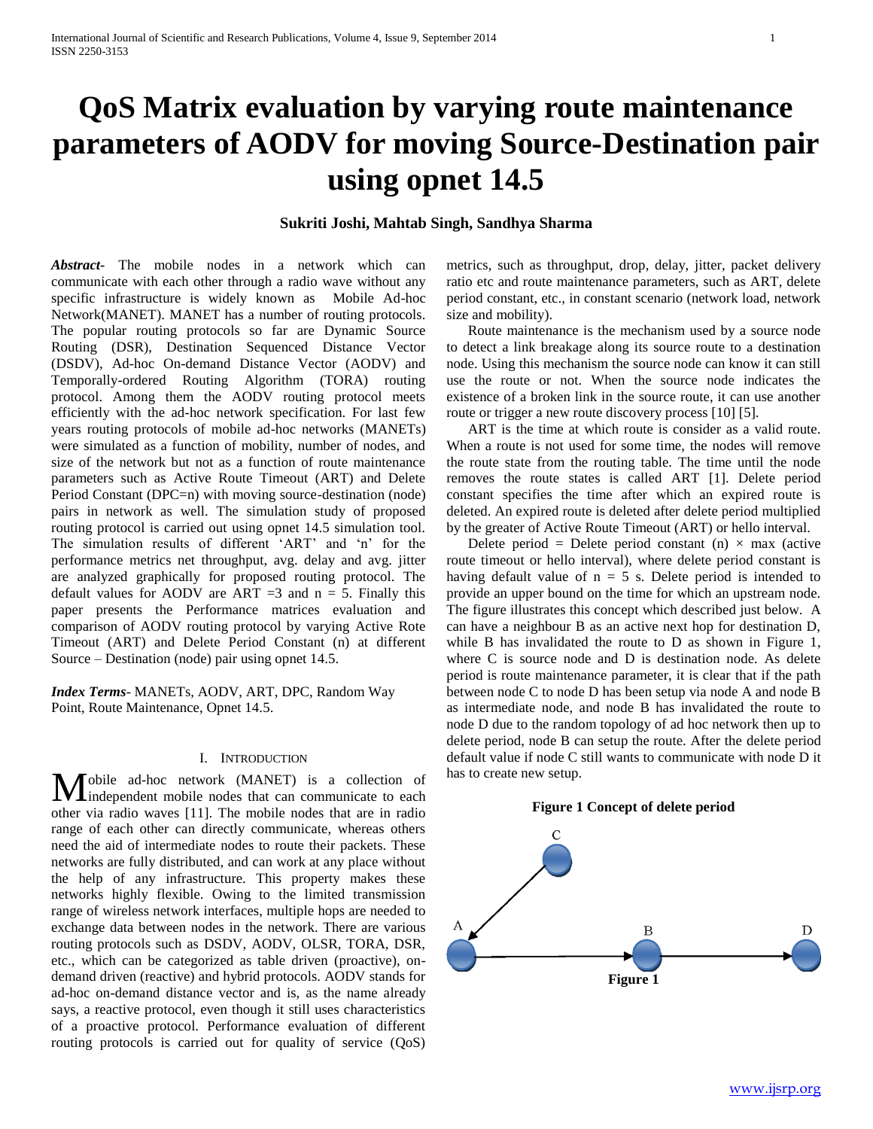# **QoS Matrix evaluation by varying route maintenance parameters of AODV for moving Source-Destination pair using opnet 14.5**

## **Sukriti Joshi, Mahtab Singh, Sandhya Sharma**

*Abstract***-** The mobile nodes in a network which can communicate with each other through a radio wave without any specific infrastructure is widely known as Mobile Ad-hoc Network(MANET). MANET has a number of routing protocols. The popular routing protocols so far are Dynamic Source Routing (DSR), Destination Sequenced Distance Vector (DSDV), Ad-hoc On-demand Distance Vector (AODV) and Temporally-ordered Routing Algorithm (TORA) routing protocol. Among them the AODV routing protocol meets efficiently with the ad-hoc network specification. For last few years routing protocols of mobile ad-hoc networks (MANETs) were simulated as a function of mobility, number of nodes, and size of the network but not as a function of route maintenance parameters such as Active Route Timeout (ART) and Delete Period Constant (DPC=n) with moving source-destination (node) pairs in network as well. The simulation study of proposed routing protocol is carried out using opnet 14.5 simulation tool. The simulation results of different 'ART' and 'n' for the performance metrics net throughput, avg. delay and avg. jitter are analyzed graphically for proposed routing protocol. The default values for AODV are ART  $=$  3 and  $n = 5$ . Finally this paper presents the Performance matrices evaluation and comparison of AODV routing protocol by varying Active Rote Timeout (ART) and Delete Period Constant (n) at different Source – Destination (node) pair using opnet 14.5.

*Index Terms*- MANETs, AODV, ART, DPC, Random Way Point, Route Maintenance, Opnet 14.5.

## I. INTRODUCTION

obile ad-hoc network (MANET) is a collection of **M** obile ad-hoc network (MANET) is a collection of independent mobile nodes that can communicate to each other via radio waves [11]. The mobile nodes that are in radio range of each other can directly communicate, whereas others need the aid of intermediate nodes to route their packets. These networks are fully distributed, and can work at any place without the help of any infrastructure. This property makes these networks highly flexible. Owing to the limited transmission range of wireless network interfaces, multiple hops are needed to exchange data between nodes in the network. There are various routing protocols such as DSDV, AODV, OLSR, TORA, DSR, etc., which can be categorized as table driven (proactive), ondemand driven (reactive) and hybrid protocols. AODV stands for ad-hoc on-demand distance vector and is, as the name already says, a reactive protocol, even though it still uses characteristics of a proactive protocol. Performance evaluation of different routing protocols is carried out for quality of service (QoS)

metrics, such as throughput, drop, delay, jitter, packet delivery ratio etc and route maintenance parameters, such as ART, delete period constant, etc., in constant scenario (network load, network size and mobility).

 Route maintenance is the mechanism used by a source node to detect a link breakage along its source route to a destination node. Using this mechanism the source node can know it can still use the route or not. When the source node indicates the existence of a broken link in the source route, it can use another route or trigger a new route discovery process [10] [5].

 ART is the time at which route is consider as a valid route. When a route is not used for some time, the nodes will remove the route state from the routing table. The time until the node removes the route states is called ART [1]. Delete period constant specifies the time after which an expired route is deleted. An expired route is deleted after delete period multiplied by the greater of Active Route Timeout (ART) or hello interval.

Delete period = Delete period constant (n)  $\times$  max (active route timeout or hello interval), where delete period constant is having default value of  $n = 5$  s. Delete period is intended to provide an upper bound on the time for which an upstream node. The figure illustrates this concept which described just below. A can have a neighbour B as an active next hop for destination D, while B has invalidated the route to D as shown in Figure 1, where C is source node and D is destination node. As delete period is route maintenance parameter, it is clear that if the path between node C to node D has been setup via node A and node B as intermediate node, and node B has invalidated the route to node D due to the random topology of ad hoc network then up to delete period, node B can setup the route. After the delete period default value if node C still wants to communicate with node D it has to create new setup.

## **Figure 1 Concept of delete period**

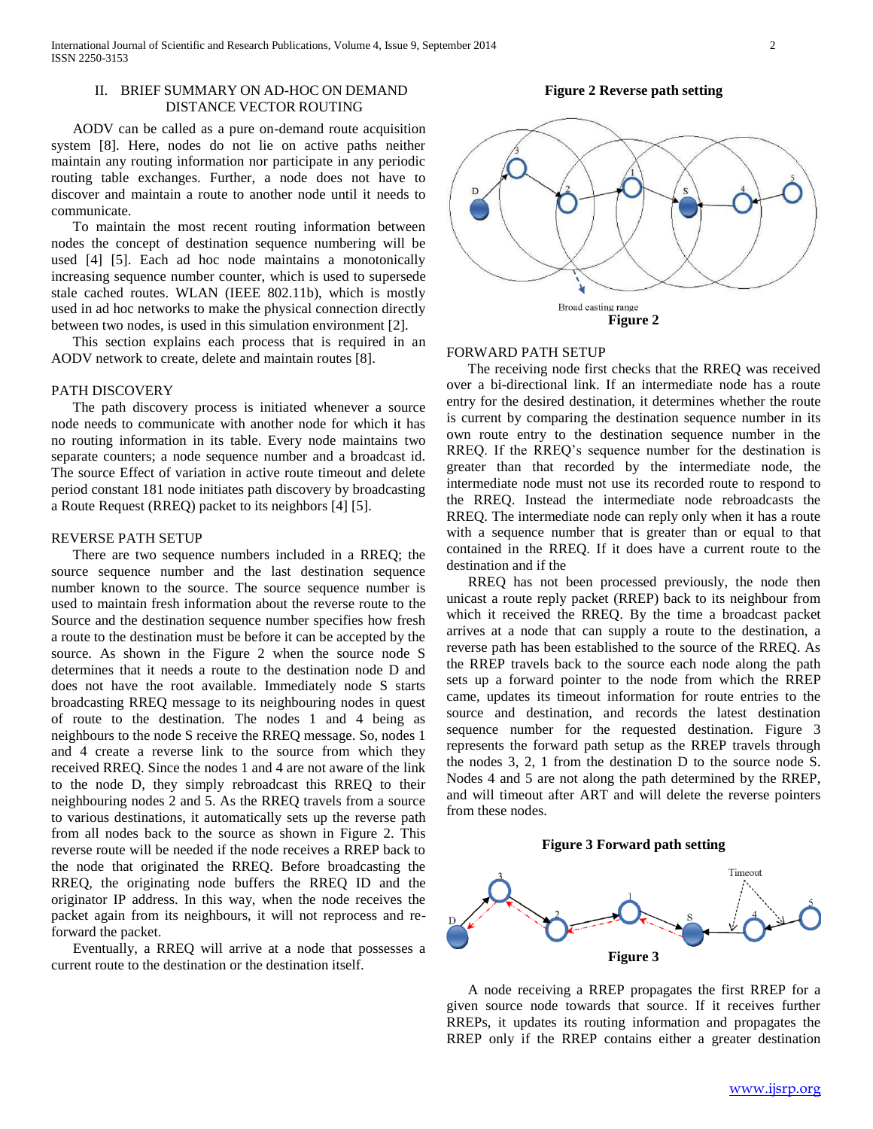## II. BRIEF SUMMARY ON AD-HOC ON DEMAND DISTANCE VECTOR ROUTING

 AODV can be called as a pure on-demand route acquisition system [8]. Here, nodes do not lie on active paths neither maintain any routing information nor participate in any periodic routing table exchanges. Further, a node does not have to discover and maintain a route to another node until it needs to communicate.

 To maintain the most recent routing information between nodes the concept of destination sequence numbering will be used [4] [5]. Each ad hoc node maintains a monotonically increasing sequence number counter, which is used to supersede stale cached routes. WLAN (IEEE 802.11b), which is mostly used in ad hoc networks to make the physical connection directly between two nodes, is used in this simulation environment [2].

 This section explains each process that is required in an AODV network to create, delete and maintain routes [8].

#### PATH DISCOVERY

 The path discovery process is initiated whenever a source node needs to communicate with another node for which it has no routing information in its table. Every node maintains two separate counters; a node sequence number and a broadcast id. The source Effect of variation in active route timeout and delete period constant 181 node initiates path discovery by broadcasting a Route Request (RREQ) packet to its neighbors [4] [5].

#### REVERSE PATH SETUP

 There are two sequence numbers included in a RREQ; the source sequence number and the last destination sequence number known to the source. The source sequence number is used to maintain fresh information about the reverse route to the Source and the destination sequence number specifies how fresh a route to the destination must be before it can be accepted by the source. As shown in the Figure 2 when the source node S determines that it needs a route to the destination node D and does not have the root available. Immediately node S starts broadcasting RREQ message to its neighbouring nodes in quest of route to the destination. The nodes 1 and 4 being as neighbours to the node S receive the RREQ message. So, nodes 1 and 4 create a reverse link to the source from which they received RREQ. Since the nodes 1 and 4 are not aware of the link to the node D, they simply rebroadcast this RREQ to their neighbouring nodes 2 and 5. As the RREQ travels from a source to various destinations, it automatically sets up the reverse path from all nodes back to the source as shown in Figure 2. This reverse route will be needed if the node receives a RREP back to the node that originated the RREQ. Before broadcasting the RREQ, the originating node buffers the RREQ ID and the originator IP address. In this way, when the node receives the packet again from its neighbours, it will not reprocess and reforward the packet.

 Eventually, a RREQ will arrive at a node that possesses a current route to the destination or the destination itself.

**Figure 2 Reverse path setting**



Broad casting range<br>**Figure 2** 

## FORWARD PATH SETUP

 The receiving node first checks that the RREQ was received over a bi-directional link. If an intermediate node has a route entry for the desired destination, it determines whether the route is current by comparing the destination sequence number in its own route entry to the destination sequence number in the RREQ. If the RREQ's sequence number for the destination is greater than that recorded by the intermediate node, the intermediate node must not use its recorded route to respond to the RREQ. Instead the intermediate node rebroadcasts the RREQ. The intermediate node can reply only when it has a route with a sequence number that is greater than or equal to that contained in the RREQ. If it does have a current route to the destination and if the

 RREQ has not been processed previously, the node then unicast a route reply packet (RREP) back to its neighbour from which it received the RREQ. By the time a broadcast packet arrives at a node that can supply a route to the destination, a reverse path has been established to the source of the RREQ. As the RREP travels back to the source each node along the path sets up a forward pointer to the node from which the RREP came, updates its timeout information for route entries to the source and destination, and records the latest destination sequence number for the requested destination. Figure 3 represents the forward path setup as the RREP travels through the nodes 3, 2, 1 from the destination D to the source node S. Nodes 4 and 5 are not along the path determined by the RREP, and will timeout after ART and will delete the reverse pointers from these nodes.

## **Figure 3 Forward path setting**



 A node receiving a RREP propagates the first RREP for a given source node towards that source. If it receives further RREPs, it updates its routing information and propagates the RREP only if the RREP contains either a greater destination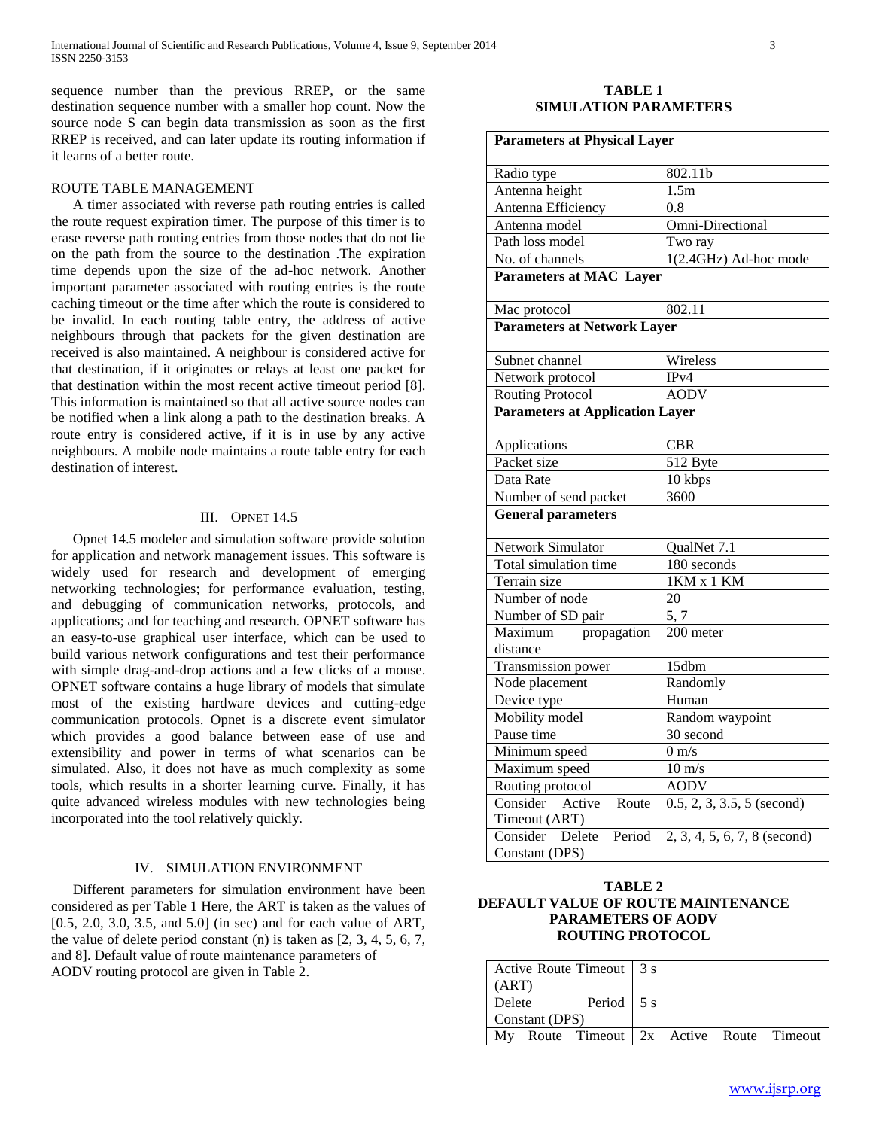sequence number than the previous RREP, or the same destination sequence number with a smaller hop count. Now the source node S can begin data transmission as soon as the first RREP is received, and can later update its routing information if it learns of a better route.

## ROUTE TABLE MANAGEMENT

 A timer associated with reverse path routing entries is called the route request expiration timer. The purpose of this timer is to erase reverse path routing entries from those nodes that do not lie on the path from the source to the destination .The expiration time depends upon the size of the ad-hoc network. Another important parameter associated with routing entries is the route caching timeout or the time after which the route is considered to be invalid. In each routing table entry, the address of active neighbours through that packets for the given destination are received is also maintained. A neighbour is considered active for that destination, if it originates or relays at least one packet for that destination within the most recent active timeout period [8]. This information is maintained so that all active source nodes can be notified when a link along a path to the destination breaks. A route entry is considered active, if it is in use by any active neighbours. A mobile node maintains a route table entry for each destination of interest.

# III. OPNET 14.5

 Opnet 14.5 modeler and simulation software provide solution for application and network management issues. This software is widely used for research and development of emerging networking technologies; for performance evaluation, testing, and debugging of communication networks, protocols, and applications; and for teaching and research. OPNET software has an easy-to-use graphical user interface, which can be used to build various network configurations and test their performance with simple drag-and-drop actions and a few clicks of a mouse. OPNET software contains a huge library of models that simulate most of the existing hardware devices and cutting-edge communication protocols. Opnet is a discrete event simulator which provides a good balance between ease of use and extensibility and power in terms of what scenarios can be simulated. Also, it does not have as much complexity as some tools, which results in a shorter learning curve. Finally, it has quite advanced wireless modules with new technologies being incorporated into the tool relatively quickly.

### IV. SIMULATION ENVIRONMENT

 Different parameters for simulation environment have been considered as per Table 1 Here, the ART is taken as the values of [0.5, 2.0, 3.0, 3.5, and 5.0] (in sec) and for each value of ART, the value of delete period constant (n) is taken as [2, 3, 4, 5, 6, 7, and 8]. Default value of route maintenance parameters of AODV routing protocol are given in Table 2.

## **TABLE 1 SIMULATION PARAMETERS**

| <b>Parameters at Physical Layer</b>          |                                         |  |  |  |  |
|----------------------------------------------|-----------------------------------------|--|--|--|--|
| Radio type                                   | 802.11b                                 |  |  |  |  |
| Antenna height                               | 1.5m                                    |  |  |  |  |
| Antenna Efficiency                           | $0.8\,$                                 |  |  |  |  |
| Antenna model                                | Omni-Directional                        |  |  |  |  |
| Path loss model                              | Two ray                                 |  |  |  |  |
| No. of channels                              | 1(2.4GHz) Ad-hoc mode                   |  |  |  |  |
| <b>Parameters at MAC Layer</b>               |                                         |  |  |  |  |
| Mac protocol                                 | 802.11                                  |  |  |  |  |
| <b>Parameters at Network Layer</b>           |                                         |  |  |  |  |
| Subnet channel                               | Wireless                                |  |  |  |  |
| Network protocol                             | IPv4                                    |  |  |  |  |
| <b>Routing Protocol</b>                      | <b>AODV</b>                             |  |  |  |  |
| <b>Parameters at Application Layer</b>       |                                         |  |  |  |  |
| Applications                                 | <b>CBR</b>                              |  |  |  |  |
| Packet size                                  | 512 Byte                                |  |  |  |  |
| Data Rate                                    | 10 kbps                                 |  |  |  |  |
| Number of send packet                        | 3600                                    |  |  |  |  |
| <b>General parameters</b>                    |                                         |  |  |  |  |
| <b>Network Simulator</b>                     | QualNet 7.1                             |  |  |  |  |
| Total simulation time                        | 180 seconds                             |  |  |  |  |
| Terrain size                                 | 1KM x 1 KM                              |  |  |  |  |
| Number of node                               | 20                                      |  |  |  |  |
| Number of SD pair                            | 5, 7                                    |  |  |  |  |
| propagation<br>Maximum<br>distance           | 200 meter                               |  |  |  |  |
| Transmission power                           | 15dbm                                   |  |  |  |  |
| Node placement                               | Randomly                                |  |  |  |  |
| Device type                                  | Human                                   |  |  |  |  |
| Mobility model                               | Random waypoint                         |  |  |  |  |
| Pause time                                   | 30 second                               |  |  |  |  |
| Minimum speed                                | $0 \text{ m/s}$                         |  |  |  |  |
| Maximum speed                                | $10 \text{ m/s}$                        |  |  |  |  |
| Routing protocol                             | <b>AODV</b>                             |  |  |  |  |
| Consider<br>Route<br>Active<br>Timeout (ART) | $\overline{0.5, 2, 3, 3.5, 5}$ (second) |  |  |  |  |
| Period<br>Consider Delete<br>Constant (DPS)  | $2, 3, 4, 5, 6, 7, 8$ (second)          |  |  |  |  |

# **TABLE 2 DEFAULT VALUE OF ROUTE MAINTENANCE PARAMETERS OF AODV ROUTING PROTOCOL**

|                |        | Active Route Timeout 3 s              |  |  |
|----------------|--------|---------------------------------------|--|--|
| (ART)          |        |                                       |  |  |
|                | Delete | Period 5 s                            |  |  |
| Constant (DPS) |        |                                       |  |  |
| Mv             |        | Route Timeout 2x Active Route Timeout |  |  |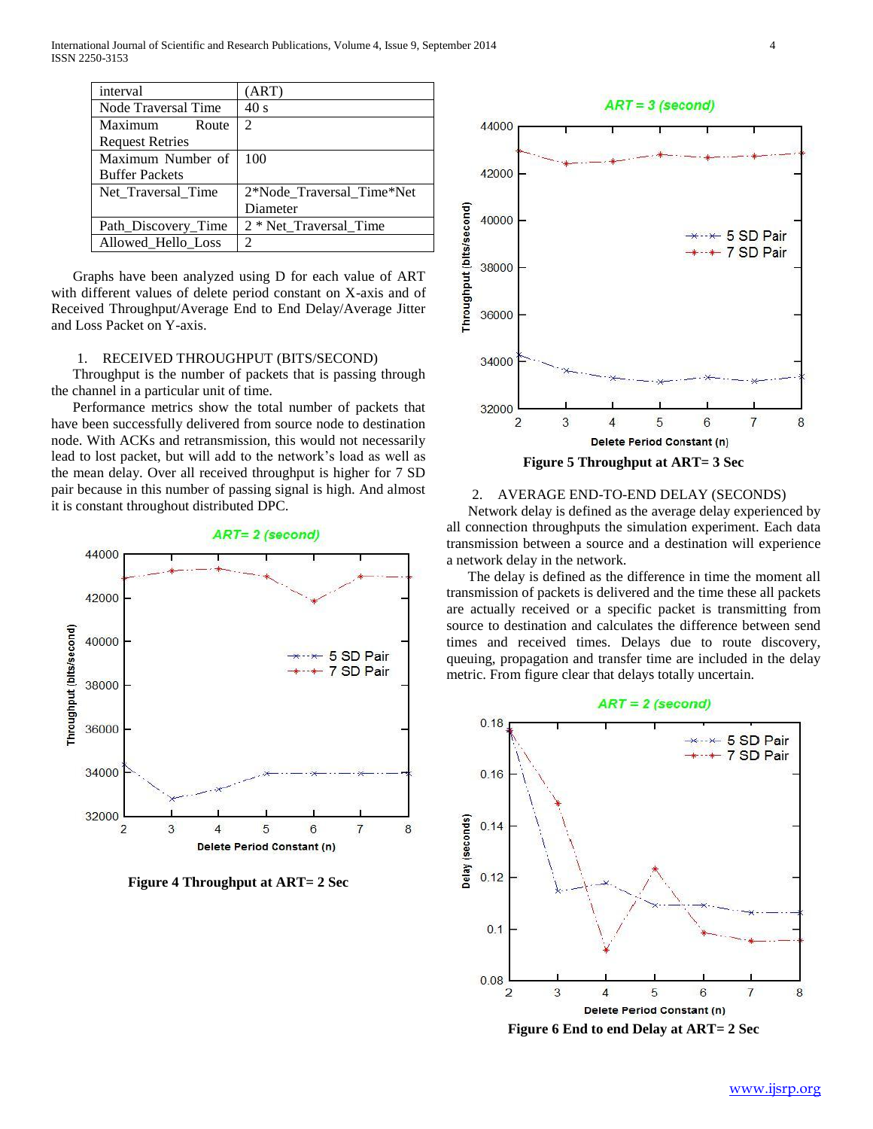International Journal of Scientific and Research Publications, Volume 4, Issue 9, September 2014 4 ISSN 2250-3153

| interval               | (ART)                     |
|------------------------|---------------------------|
| Node Traversal Time    | 40 s                      |
| Maximum<br>Route       | 2                         |
| <b>Request Retries</b> |                           |
| Maximum Number of      | 100                       |
| <b>Buffer Packets</b>  |                           |
| Net Traversal Time     | 2*Node Traversal Time*Net |
|                        | Diameter                  |
| Path_Discovery_Time    | 2 * Net Traversal Time    |
| Allowed Hello Loss     | 2                         |

 Graphs have been analyzed using D for each value of ART with different values of delete period constant on X-axis and of Received Throughput/Average End to End Delay/Average Jitter and Loss Packet on Y-axis.

### 1. RECEIVED THROUGHPUT (BITS/SECOND)

 Throughput is the number of packets that is passing through the channel in a particular unit of time.

 Performance metrics show the total number of packets that have been successfully delivered from source node to destination node. With ACKs and retransmission, this would not necessarily lead to lost packet, but will add to the network's load as well as the mean delay. Over all received throughput is higher for 7 SD pair because in this number of passing signal is high. And almost it is constant throughout distributed DPC.



**Figure 4 Throughput at ART= 2 Sec**



## 2. AVERAGE END-TO-END DELAY (SECONDS)

 Network delay is defined as the average delay experienced by all connection throughputs the simulation experiment. Each data transmission between a source and a destination will experience a network delay in the network.

 The delay is defined as the difference in time the moment all transmission of packets is delivered and the time these all packets are actually received or a specific packet is transmitting from source to destination and calculates the difference between send times and received times. Delays due to route discovery, queuing, propagation and transfer time are included in the delay metric. From figure clear that delays totally uncertain.



**Figure 6 End to end Delay at ART= 2 Sec**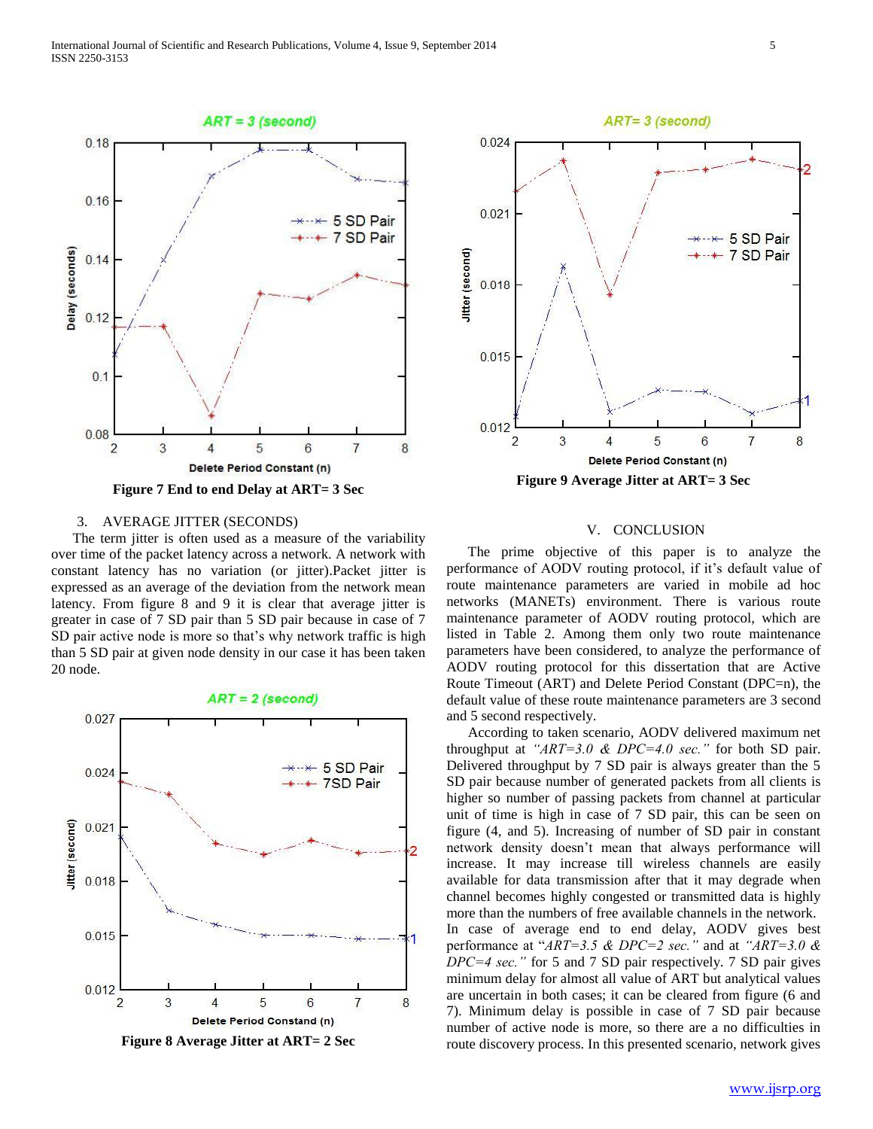

#### 3. AVERAGE JITTER (SECONDS)

 The term jitter is often used as a measure of the variability over time of the packet latency across a network. A network with constant latency has no variation (or jitter).Packet jitter is expressed as an average of the deviation from the network mean latency. From figure 8 and 9 it is clear that average jitter is greater in case of 7 SD pair than 5 SD pair because in case of 7 SD pair active node is more so that's why network traffic is high than 5 SD pair at given node density in our case it has been taken 20 node.



**Figure 8 Average Jitter at ART= 2 Sec**



#### V. CONCLUSION

 The prime objective of this paper is to analyze the performance of AODV routing protocol, if it's default value of route maintenance parameters are varied in mobile ad hoc networks (MANETs) environment. There is various route maintenance parameter of AODV routing protocol, which are listed in Table 2. Among them only two route maintenance parameters have been considered, to analyze the performance of AODV routing protocol for this dissertation that are Active Route Timeout (ART) and Delete Period Constant (DPC=n), the default value of these route maintenance parameters are 3 second and 5 second respectively.

 According to taken scenario, AODV delivered maximum net throughput at " $ART = 3.0 \& DPC = 4.0 \text{ sec.}$ " for both SD pair. Delivered throughput by 7 SD pair is always greater than the 5 SD pair because number of generated packets from all clients is higher so number of passing packets from channel at particular unit of time is high in case of 7 SD pair, this can be seen on figure (4, and 5). Increasing of number of SD pair in constant network density doesn't mean that always performance will increase. It may increase till wireless channels are easily available for data transmission after that it may degrade when channel becomes highly congested or transmitted data is highly more than the numbers of free available channels in the network. In case of average end to end delay, AODV gives best performance at "*ART=3.5 & DPC=2 sec."* and at *"ART=3.0 & DPC=4 sec."* for 5 and 7 SD pair respectively. 7 SD pair gives minimum delay for almost all value of ART but analytical values are uncertain in both cases; it can be cleared from figure (6 and 7). Minimum delay is possible in case of 7 SD pair because number of active node is more, so there are a no difficulties in route discovery process. In this presented scenario, network gives